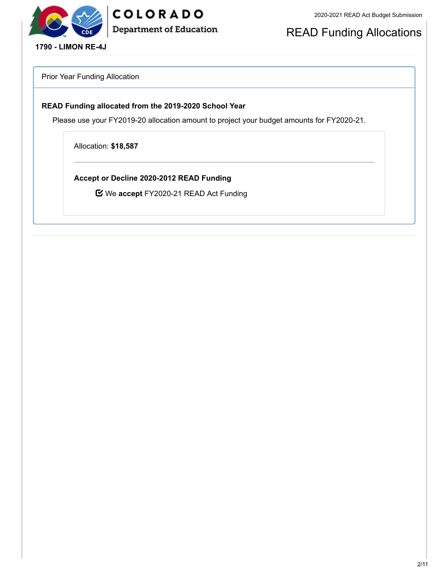

## COLORADO **Department of Education**

READ Funding Allocations

**1790 - LIMON RE-4J**

Prior Year Funding Allocation

#### **READ Funding allocated from the 2019-2020 School Year**

Please use your FY2019-20 allocation amount to project your budget amounts for FY2020-21.

Allocation: **\$18,587**

**Accept or Decline 2020-2012 READ Funding**

We **accept** FY2020-21 READ Act Funding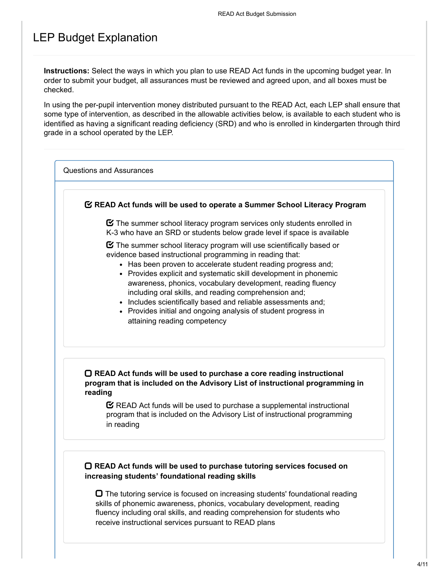## LEP Budget Explanation

**Instructions:** Select the ways in which you plan to use READ Act funds in the upcoming budget year. In order to submit your budget, all assurances must be reviewed and agreed upon, and all boxes must be checked.

In using the per-pupil intervention money distributed pursuant to the READ Act, each LEP shall ensure that some type of intervention, as described in the allowable activities below, is available to each student who is identified as having a significant reading deficiency (SRD) and who is enrolled in kindergarten through third grade in a school operated by the LEP.

Questions and Assurances

#### **READ Act funds will be used to operate a Summer School Literacy Program**

 $\boldsymbol{\heartsuit}$  The summer school literacy program services only students enrolled in K-3 who have an SRD or students below grade level if space is available

 $\boldsymbol{\Xi}$  The summer school literacy program will use scientifically based or evidence based instructional programming in reading that:

- Has been proven to accelerate student reading progress and:
- Provides explicit and systematic skill development in phonemic awareness, phonics, vocabulary development, reading fluency including oral skills, and reading comprehension and;
- Includes scientifically based and reliable assessments and;
- Provides initial and ongoing analysis of student progress in attaining reading competency

#### **READ Act funds will be used to purchase a core reading instructional program that is included on the Advisory List of instructional programming in reading**

 $\mathbf C$  READ Act funds will be used to purchase a supplemental instructional program that is included on the Advisory List of instructional programming in reading

#### **READ Act funds will be used to purchase tutoring services focused on increasing students' foundational reading skills**

 $\Box$  The tutoring service is focused on increasing students' foundational reading skills of phonemic awareness, phonics, vocabulary development, reading fluency including oral skills, and reading comprehension for students who receive instructional services pursuant to READ plans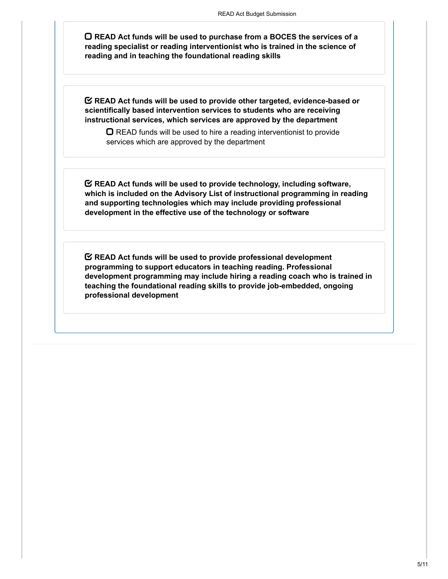**READ Act funds will be used to purchase from a BOCES the services of a reading specialist or reading interventionist who is trained in the science of reading and in teaching the foundational reading skills**

**READ Act funds will be used to provide other targeted, evidence-based or scientifically based intervention services to students who are receiving instructional services, which services are approved by the department**

 $\Box$  READ funds will be used to hire a reading interventionist to provide services which are approved by the department

**READ Act funds will be used to provide technology, including software, which is included on the Advisory List of instructional programming in reading and supporting technologies which may include providing professional development in the effective use of the technology or software**

**READ Act funds will be used to provide professional development programming to support educators in teaching reading. Professional development programming may include hiring a reading coach who is trained in teaching the foundational reading skills to provide job-embedded, ongoing professional development**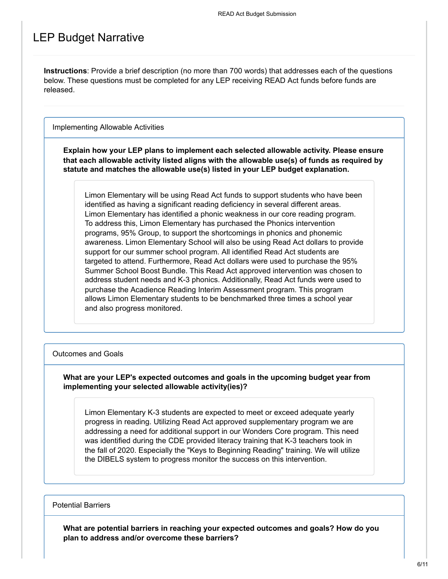### LEP Budget Narrative

**Instructions**: Provide a brief description (no more than 700 words) that addresses each of the questions below. These questions must be completed for any LEP receiving READ Act funds before funds are released.

Implementing Allowable Activities

**Explain how your LEP plans to implement each selected allowable activity. Please ensure that each allowable activity listed aligns with the allowable use(s) of funds as required by statute and matches the allowable use(s) listed in your LEP budget explanation.**

Limon Elementary will be using Read Act funds to support students who have been identified as having a significant reading deficiency in several different areas. Limon Elementary has identified a phonic weakness in our core reading program. To address this, Limon Elementary has purchased the Phonics intervention programs, 95% Group, to support the shortcomings in phonics and phonemic awareness. Limon Elementary School will also be using Read Act dollars to provide support for our summer school program. All identified Read Act students are targeted to attend. Furthermore, Read Act dollars were used to purchase the 95% Summer School Boost Bundle. This Read Act approved intervention was chosen to address student needs and K-3 phonics. Additionally, Read Act funds were used to purchase the Acadience Reading Interim Assessment program. This program allows Limon Elementary students to be benchmarked three times a school year and also progress monitored.

#### Outcomes and Goals

#### **What are your LEP's expected outcomes and goals in the upcoming budget year from implementing your selected allowable activity(ies)?**

Limon Elementary K-3 students are expected to meet or exceed adequate yearly progress in reading. Utilizing Read Act approved supplementary program we are addressing a need for additional support in our Wonders Core program. This need was identified during the CDE provided literacy training that K-3 teachers took in the fall of 2020. Especially the "Keys to Beginning Reading" training. We will utilize the DIBELS system to progress monitor the success on this intervention.

#### Potential Barriers

**What are potential barriers in reaching your expected outcomes and goals? How do you plan to address and/or overcome these barriers?**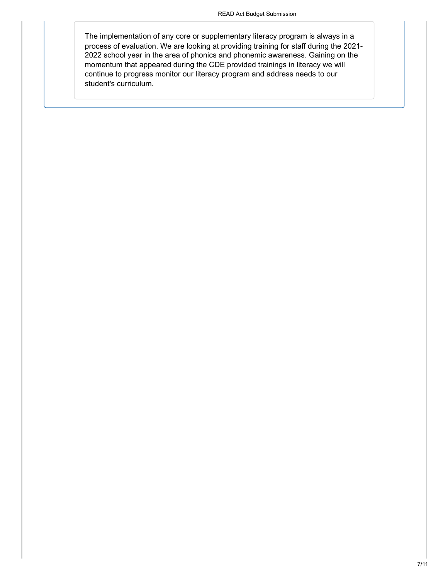The implementation of any core or supplementary literacy program is always in a process of evaluation. We are looking at providing training for staff during the 2021- 2022 school year in the area of phonics and phonemic awareness. Gaining on the momentum that appeared during the CDE provided trainings in literacy we will continue to progress monitor our literacy program and address needs to our student's curriculum.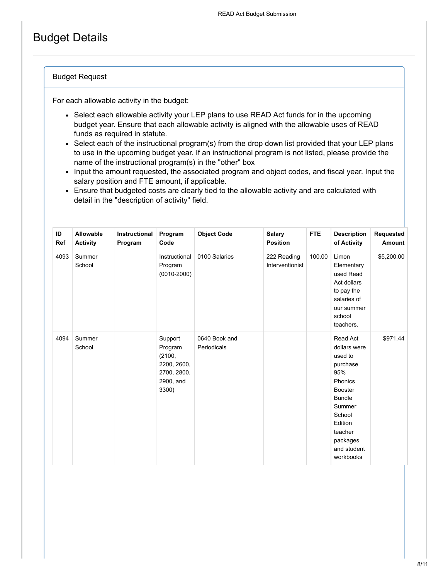## Budget Details

#### Budget Request

For each allowable activity in the budget:

- Select each allowable activity your LEP plans to use READ Act funds for in the upcoming budget year. Ensure that each allowable activity is aligned with the allowable uses of READ funds as required in statute.
- Select each of the instructional program(s) from the drop down list provided that your LEP plans to use in the upcoming budget year. If an instructional program is not listed, please provide the name of the instructional program(s) in the "other" box
- Input the amount requested, the associated program and object codes, and fiscal year. Input the salary position and FTE amount, if applicable.
- Ensure that budgeted costs are clearly tied to the allowable activity and are calculated with detail in the "description of activity" field.

| ID<br>Ref | Allowable<br><b>Activity</b> | Instructional<br>Program | Program<br>Code                                                                  | <b>Object Code</b>           | <b>Salary</b><br><b>Position</b> | <b>FTE</b> | <b>Description</b><br>of Activity                                                                                                                                                      | Requested<br>Amount |
|-----------|------------------------------|--------------------------|----------------------------------------------------------------------------------|------------------------------|----------------------------------|------------|----------------------------------------------------------------------------------------------------------------------------------------------------------------------------------------|---------------------|
| 4093      | Summer<br>School             |                          | Instructional<br>Program<br>$(0010 - 2000)$                                      | 0100 Salaries                | 222 Reading<br>Interventionist   | 100.00     | Limon<br>Elementary<br>used Read<br>Act dollars<br>to pay the<br>salaries of<br>our summer<br>school<br>teachers.                                                                      | \$5,200.00          |
| 4094      | Summer<br>School             |                          | Support<br>Program<br>(2100,<br>2200, 2600,<br>2700, 2800,<br>2900, and<br>3300) | 0640 Book and<br>Periodicals |                                  |            | Read Act<br>dollars were<br>used to<br>purchase<br>95%<br>Phonics<br><b>Booster</b><br><b>Bundle</b><br>Summer<br>School<br>Edition<br>teacher<br>packages<br>and student<br>workbooks | \$971.44            |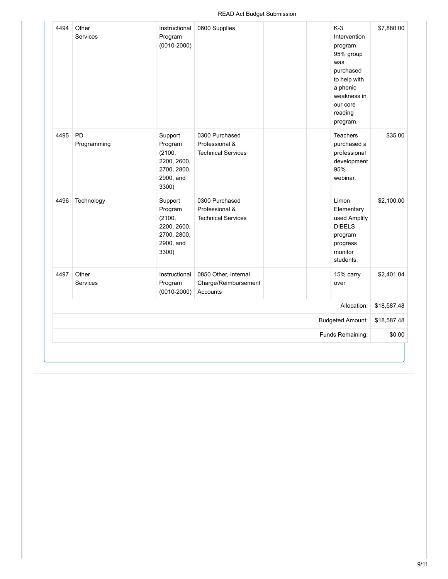| 4494 | Other<br><b>Services</b> | Instructional<br>Program<br>$(0010 - 2000)$                                      | 0600 Supplies                                                 | $K-3$<br>Intervention<br>program<br>95% group<br>was<br>purchased<br>to help with<br>a phonic<br>weakness in<br>our core<br>reading<br>program. | \$7,880.00  |
|------|--------------------------|----------------------------------------------------------------------------------|---------------------------------------------------------------|-------------------------------------------------------------------------------------------------------------------------------------------------|-------------|
| 4495 | PD<br>Programming        | Support<br>Program<br>(2100,<br>2200, 2600,<br>2700, 2800,<br>2900, and<br>3300) | 0300 Purchased<br>Professional &<br><b>Technical Services</b> | <b>Teachers</b><br>purchased a<br>professional<br>development<br>95%<br>webinar.                                                                | \$35.00     |
| 4496 | Technology               | Support<br>Program<br>(2100,<br>2200, 2600,<br>2700, 2800,<br>2900, and<br>3300) | 0300 Purchased<br>Professional &<br><b>Technical Services</b> | Limon<br>Elementary<br>used Amplify<br><b>DIBELS</b><br>program<br>progress<br>monitor<br>students.                                             | \$2,100.00  |
| 4497 | Other<br><b>Services</b> | Instructional<br>Program<br>$(0010 - 2000)$                                      | 0850 Other, Internal<br>Charge/Reimbursement<br>Accounts      | 15% carry<br>over                                                                                                                               | \$2,401.04  |
|      |                          |                                                                                  |                                                               | Allocation:                                                                                                                                     | \$18,587.48 |
|      |                          |                                                                                  |                                                               | <b>Budgeted Amount:</b>                                                                                                                         | \$18,587.48 |
|      |                          |                                                                                  |                                                               | Funds Remaining:                                                                                                                                | \$0.00      |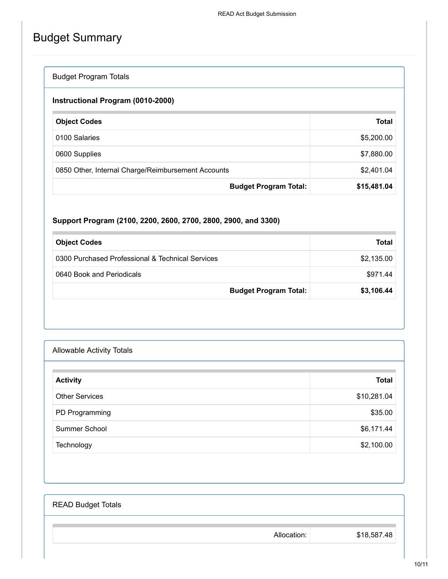# Budget Summary

### Budget Program Totals

### **Instructional Program (0010-2000)**

| <b>Object Codes</b>                                | <b>Total</b> |
|----------------------------------------------------|--------------|
| 0100 Salaries                                      | \$5,200.00   |
| 0600 Supplies                                      | \$7,880.00   |
| 0850 Other, Internal Charge/Reimbursement Accounts | \$2,401.04   |
| <b>Budget Program Total:</b>                       | \$15,481.04  |

### **Support Program (2100, 2200, 2600, 2700, 2800, 2900, and 3300)**

| <b>Object Codes</b>                              | Total      |
|--------------------------------------------------|------------|
| 0300 Purchased Professional & Technical Services | \$2,135.00 |
| 0640 Book and Periodicals                        | \$971.44   |
| <b>Budget Program Total:</b>                     | \$3,106.44 |

| <b>Allowable Activity Totals</b> |              |
|----------------------------------|--------------|
| <b>Activity</b>                  | <b>Total</b> |
| <b>Other Services</b>            | \$10,281.04  |
| PD Programming                   | \$35.00      |
| Summer School                    | \$6,171.44   |
| Technology                       | \$2,100.00   |

| <b>READ Budget Totals</b> |             |             |
|---------------------------|-------------|-------------|
|                           | Allocation: | \$18,587.48 |